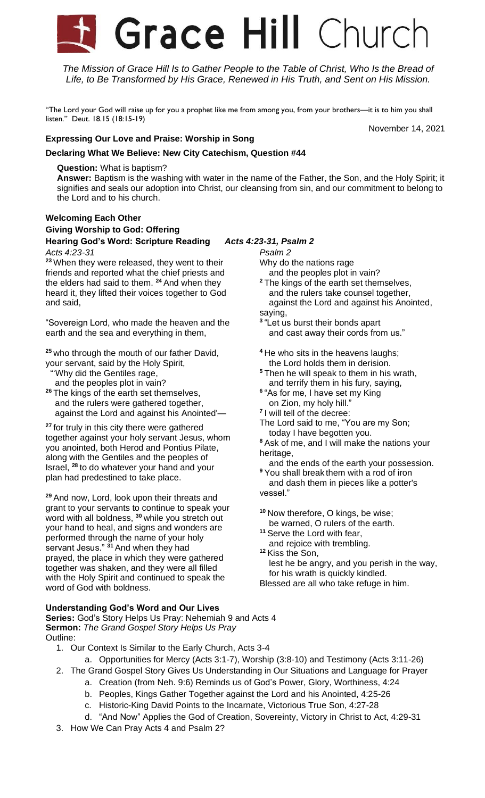# Grace Hill Church

*The Mission of Grace Hill Is to Gather People to the Table of Christ, Who Is the Bread of Life, to Be Transformed by His Grace, Renewed in His Truth, and Sent on His Mission.*

"The Lord your God will raise up for you a prophet like me from among you, from your brothers—it is to him you shall listen." Deut. 18.15 (18:15-19)

### November 14, 2021

# **Expressing Our Love and Praise: Worship in Song**

# **Declaring What We Believe: New City Catechism, Question #44**

**Question:** What is baptism?

**Answer:** Baptism is the washing with water in the name of the Father, the Son, and the Holy Spirit; it signifies and seals our adoption into Christ, our cleansing from sin, and our commitment to belong to the Lord and to his church.

### **Welcoming Each Other Giving Worship to God: Offering Hearing God's Word: Scripture Reading** *Acts 4:23-31, Psalm 2*

### *Acts 4:23-31*

**<sup>23</sup>** When they were released, they went to their friends and reported what the chief priests and the elders had said to them. **<sup>24</sup>** And when they heard it, they lifted their voices together to God and said,

"Sovereign Lord, who made the heaven and the earth and the sea and everything in them,

**<sup>25</sup>** who through the mouth of our father David, your servant, said by the Holy Spirit,

"'Why did the Gentiles rage,

and the peoples plot in vain?

**<sup>26</sup>** The kings of the earth set themselves, and the rulers were gathered together, against the Lord and against his Anointed'—

**<sup>27</sup>** for truly in this city there were gathered together against your holy servant Jesus, whom you anointed, both Herod and Pontius Pilate, along with the Gentiles and the peoples of Israel, **<sup>28</sup>** to do whatever your hand and your plan had predestined to take place.

**<sup>29</sup>** And now, Lord, look upon their threats and grant to your servants to continue to speak your word with all boldness, **<sup>30</sup>** while you stretch out your hand to heal, and signs and wonders are performed through the name of your holy servant Jesus." **<sup>31</sup>** And when they had prayed, the place in which they were gathered together was shaken, and they were all filled with the Holy Spirit and continued to speak the word of God with boldness.

### *Psalm 2*

Why do the nations rage

- and the peoples plot in vain?
- **<sup>2</sup>** The kings of the earth set themselves, and the rulers take counsel together, against the Lord and against his Anointed, saying,
- **3** "Let us burst their bonds apart and cast away their cords from us."
- **<sup>4</sup>** He who sits in the heavens laughs; the Lord holds them in derision.
- **<sup>5</sup>** Then he will speak to them in his wrath, and terrify them in his fury, saying,
- **6** "As for me, I have set my King on Zion, my holy hill."
- **7** I will tell of the decree:
- The Lord said to me, "You are my Son; today I have begotten you.
- **<sup>8</sup>** Ask of me, and I will make the nations your heritage,

 and the ends of the earth your possession. **<sup>9</sup>** You shall break them with a rod of iron

 and dash them in pieces like a potter's vessel."

**<sup>10</sup>** Now therefore, O kings, be wise; be warned, O rulers of the earth.

**<sup>11</sup>** Serve the Lord with fear, and rejoice with trembling.

**<sup>12</sup>** Kiss the Son,

 lest he be angry, and you perish in the way, for his wrath is quickly kindled.

Blessed are all who take refuge in him.

### **Understanding God's Word and Our Lives**

**Series:** God's Story Helps Us Pray: Nehemiah 9 and Acts 4 **Sermon:** *The Grand Gospel Story Helps Us Pray* Outline:

- 1. Our Context Is Similar to the Early Church, Acts 3-4
	- a. Opportunities for Mercy (Acts 3:1-7), Worship (3:8-10) and Testimony (Acts 3:11-26)
- 2. The Grand Gospel Story Gives Us Understanding in Our Situations and Language for Prayer
	- a. Creation (from Neh. 9:6) Reminds us of God's Power, Glory, Worthiness, 4:24
	- b. Peoples, Kings Gather Together against the Lord and his Anointed, 4:25-26
	- c. Historic-King David Points to the Incarnate, Victorious True Son, 4:27-28
	- d. "And Now" Applies the God of Creation, Sovereinty, Victory in Christ to Act, 4:29-31
- 3. How We Can Pray Acts 4 and Psalm 2?